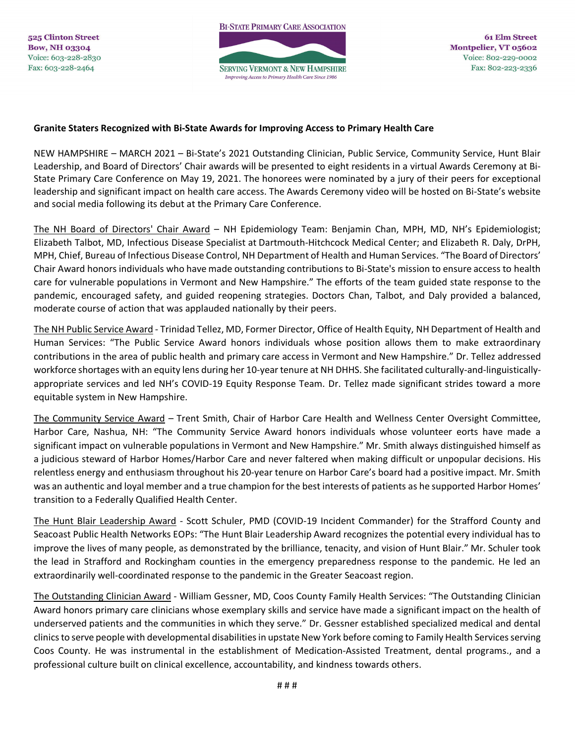## **Granite Staters Recognized with Bi-State Awards for Improving Access to Primary Health Care**

NEW HAMPSHIRE – MARCH 2021 – Bi-State's 2021 Outstanding Clinician, Public Service, Community Service, Hunt Blair Leadership, and Board of Directors' Chair awards will be presented to eight residents in a virtual Awards Ceremony at Bi-State Primary Care Conference on May 19, 2021. The honorees were nominated by a jury of their peers for exceptional leadership and significant impact on health care access. The Awards Ceremony video will be hosted on Bi-State's website and social media following its debut at the Primary Care Conference.

The NH Board of Directors' Chair Award – NH Epidemiology Team: Benjamin Chan, MPH, MD, NH's Epidemiologist; Elizabeth Talbot, MD, Infectious Disease Specialist at Dartmouth-Hitchcock Medical Center; and Elizabeth R. Daly, DrPH, MPH, Chief, Bureau of Infectious Disease Control, NH Department of Health and Human Services. "The Board of Directors' Chair Award honors individuals who have made outstanding contributions to Bi-State's mission to ensure access to health care for vulnerable populations in Vermont and New Hampshire." The efforts of the team guided state response to the pandemic, encouraged safety, and guided reopening strategies. Doctors Chan, Talbot, and Daly provided a balanced, moderate course of action that was applauded nationally by their peers.

The NH Public Service Award - Trinidad Tellez, MD, Former Director, Office of Health Equity, NH Department of Health and Human Services: "The Public Service Award honors individuals whose position allows them to make extraordinary contributions in the area of public health and primary care access in Vermont and New Hampshire." Dr. Tellez addressed workforce shortages with an equity lens during her 10-year tenure at NH DHHS. She facilitated culturally-and-linguisticallyappropriate services and led NH's COVID-19 Equity Response Team. Dr. Tellez made significant strides toward a more equitable system in New Hampshire.

The Community Service Award – Trent Smith, Chair of Harbor Care Health and Wellness Center Oversight Committee, Harbor Care, Nashua, NH: "The Community Service Award honors individuals whose volunteer eorts have made a significant impact on vulnerable populations in Vermont and New Hampshire." Mr. Smith always distinguished himself as a judicious steward of Harbor Homes/Harbor Care and never faltered when making difficult or unpopular decisions. His relentless energy and enthusiasm throughout his 20-year tenure on Harbor Care's board had a positive impact. Mr. Smith was an authentic and loyal member and a true champion for the best interests of patients as he supported Harbor Homes' transition to a Federally Qualified Health Center.

The Hunt Blair Leadership Award - Scott Schuler, PMD (COVID-19 Incident Commander) for the Strafford County and Seacoast Public Health Networks EOPs: "The Hunt Blair Leadership Award recognizes the potential every individual has to improve the lives of many people, as demonstrated by the brilliance, tenacity, and vision of Hunt Blair." Mr. Schuler took the lead in Strafford and Rockingham counties in the emergency preparedness response to the pandemic. He led an extraordinarily well-coordinated response to the pandemic in the Greater Seacoast region.

The Outstanding Clinician Award - William Gessner, MD, Coos County Family Health Services: "The Outstanding Clinician Award honors primary care clinicians whose exemplary skills and service have made a significant impact on the health of underserved patients and the communities in which they serve." Dr. Gessner established specialized medical and dental clinics to serve people with developmental disabilities in upstate New York before coming to Family Health Services serving Coos County. He was instrumental in the establishment of Medication-Assisted Treatment, dental programs., and a professional culture built on clinical excellence, accountability, and kindness towards others.